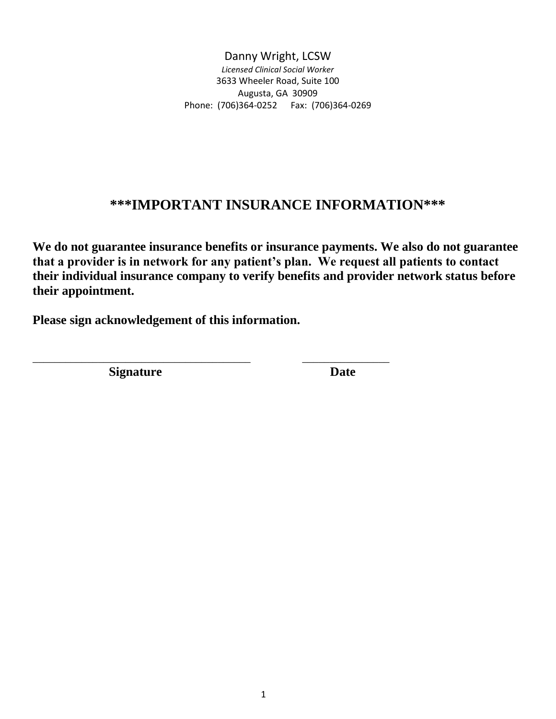# **\*\*\*IMPORTANT INSURANCE INFORMATION\*\*\***

**We do not guarantee insurance benefits or insurance payments. We also do not guarantee that a provider is in network for any patient's plan. We request all patients to contact their individual insurance company to verify benefits and provider network status before their appointment.** 

**Please sign acknowledgement of this information.**

\_\_\_\_\_\_\_\_\_\_\_\_\_\_\_\_\_\_\_\_\_\_\_\_\_\_\_\_\_\_\_\_\_\_\_\_\_\_\_\_ \_\_\_\_\_\_\_\_\_\_\_\_\_\_\_\_

**Signature** Date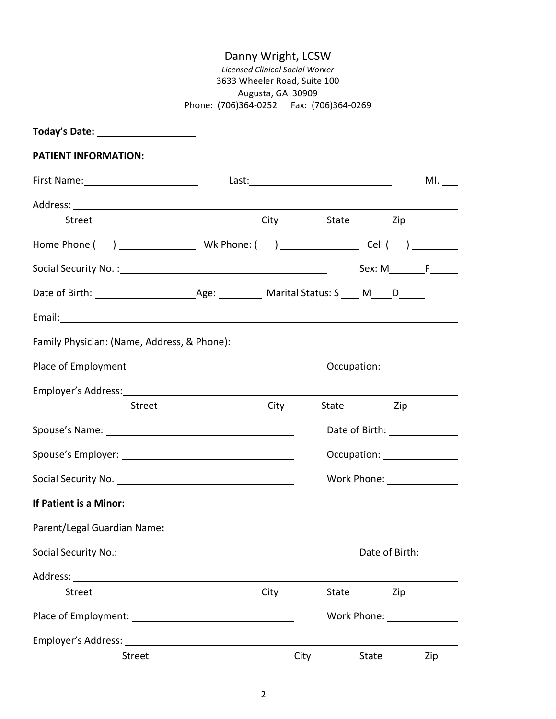| Today's Date: ______________________                                                                 |                                                                                                                      |      |      |                             |                |     |
|------------------------------------------------------------------------------------------------------|----------------------------------------------------------------------------------------------------------------------|------|------|-----------------------------|----------------|-----|
| <b>PATIENT INFORMATION:</b>                                                                          |                                                                                                                      |      |      |                             |                |     |
| First Name: Name: Name and Name and Name and Name and Name and Name and Name and Name and Name and N |                                                                                                                      |      |      |                             |                | ML  |
|                                                                                                      |                                                                                                                      |      |      |                             |                |     |
| <b>Street</b>                                                                                        |                                                                                                                      |      |      | City State Zip              |                |     |
|                                                                                                      |                                                                                                                      |      |      |                             |                |     |
|                                                                                                      |                                                                                                                      |      |      |                             | $Sex: M$ $F$   |     |
|                                                                                                      |                                                                                                                      |      |      |                             |                |     |
|                                                                                                      |                                                                                                                      |      |      |                             |                |     |
|                                                                                                      |                                                                                                                      |      |      |                             |                |     |
|                                                                                                      |                                                                                                                      |      |      | Occupation: _______________ |                |     |
|                                                                                                      |                                                                                                                      |      |      |                             |                |     |
|                                                                                                      | <b>Street</b>                                                                                                        | City |      | State                       | Zip            |     |
|                                                                                                      |                                                                                                                      |      |      | Date of Birth: 1999         |                |     |
|                                                                                                      |                                                                                                                      |      |      |                             |                |     |
|                                                                                                      |                                                                                                                      |      |      |                             |                |     |
| If Patient is a Minor:                                                                               |                                                                                                                      |      |      |                             |                |     |
| Parent/Legal Guardian Name:                                                                          |                                                                                                                      |      |      |                             |                |     |
| Social Security No.:                                                                                 | <u> Alexandria de la contrada de la contrada de la contrada de la contrada de la contrada de la contrada de la c</u> |      |      |                             | Date of Birth: |     |
|                                                                                                      |                                                                                                                      |      |      |                             |                |     |
| <b>Street</b>                                                                                        |                                                                                                                      | City |      | State                       | Zip            |     |
|                                                                                                      |                                                                                                                      |      |      | Work Phone: Work Phone:     |                |     |
|                                                                                                      |                                                                                                                      |      |      |                             |                |     |
|                                                                                                      | <b>Street</b>                                                                                                        |      | City | State                       |                | Zip |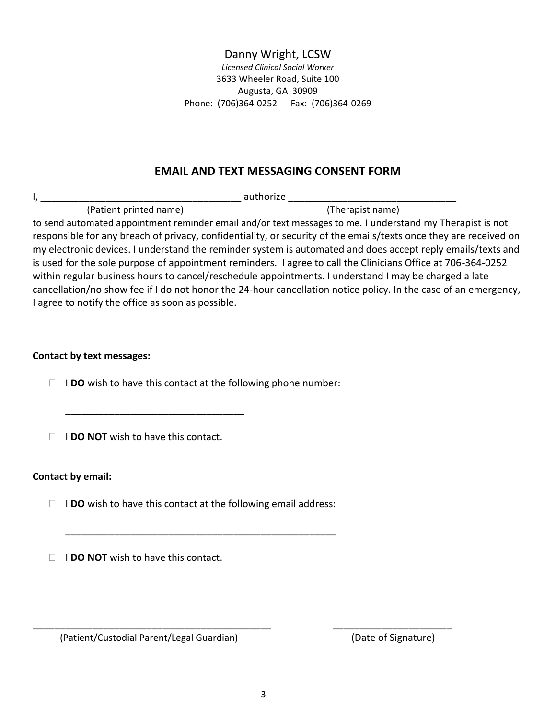## **EMAIL AND TEXT MESSAGING CONSENT FORM**

I, \_\_\_\_\_\_\_\_\_\_\_\_\_\_\_\_\_\_\_\_\_\_\_\_\_\_\_\_\_\_\_\_\_\_\_\_\_ authorize \_\_\_\_\_\_\_\_\_\_\_\_\_\_\_\_\_\_\_\_\_\_\_\_\_\_\_\_\_\_\_ (Patient printed name) (Therapist name) to send automated appointment reminder email and/or text messages to me. I understand my Therapist is not responsible for any breach of privacy, confidentiality, or security of the emails/texts once they are received on my electronic devices. I understand the reminder system is automated and does accept reply emails/texts and is used for the sole purpose of appointment reminders. I agree to call the Clinicians Office at 706-364-0252 within regular business hours to cancel/reschedule appointments. I understand I may be charged a late cancellation/no show fee if I do not honor the 24-hour cancellation notice policy. In the case of an emergency, I agree to notify the office as soon as possible.

## **Contact by text messages:**

I **DO** wish to have this contact at the following phone number:

**I I DO NOT** wish to have this contact.

\_\_\_\_\_\_\_\_\_\_\_\_\_\_\_\_\_\_\_\_\_\_\_\_\_\_\_\_\_\_\_\_\_

## **Contact by email:**

□ **IDO** wish to have this contact at the following email address:

\_\_\_\_\_\_\_\_\_\_\_\_\_\_\_\_\_\_\_\_\_\_\_\_\_\_\_\_\_\_\_\_\_\_\_\_\_\_\_\_\_\_\_\_\_\_\_\_\_\_

**I I DO NOT** wish to have this contact.

(Patient/Custodial Parent/Legal Guardian) (Date of Signature)

\_\_\_\_\_\_\_\_\_\_\_\_\_\_\_\_\_\_\_\_\_\_\_\_\_\_\_\_\_\_\_\_\_\_\_\_\_\_\_\_\_\_\_\_ \_\_\_\_\_\_\_\_\_\_\_\_\_\_\_\_\_\_\_\_\_\_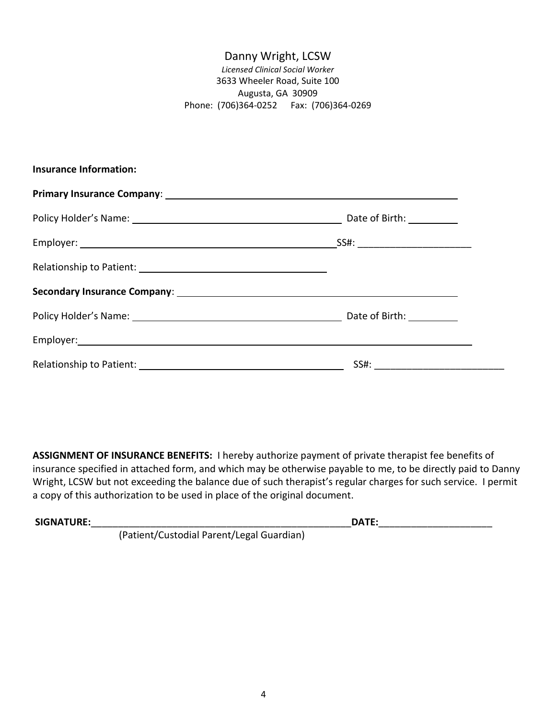| <b>Insurance Information:</b> |  |
|-------------------------------|--|
|                               |  |
|                               |  |
|                               |  |
|                               |  |
|                               |  |
|                               |  |
|                               |  |
|                               |  |

**ASSIGNMENT OF INSURANCE BENEFITS:** I hereby authorize payment of private therapist fee benefits of insurance specified in attached form, and which may be otherwise payable to me, to be directly paid to Danny Wright, LCSW but not exceeding the balance due of such therapist's regular charges for such service. I permit a copy of this authorization to be used in place of the original document.

| <b>SIGNATURE:</b> |                                           | DATE: |  |
|-------------------|-------------------------------------------|-------|--|
|                   | (Patient/Custodial Parent/Legal Guardian) |       |  |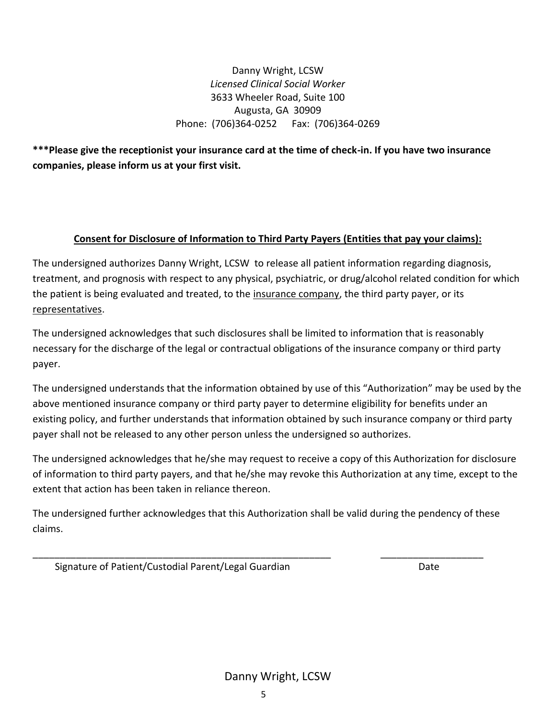**\*\*\*Please give the receptionist your insurance card at the time of check-in. If you have two insurance companies, please inform us at your first visit.**

## **Consent for Disclosure of Information to Third Party Payers (Entities that pay your claims):**

The undersigned authorizes Danny Wright, LCSW to release all patient information regarding diagnosis, treatment, and prognosis with respect to any physical, psychiatric, or drug/alcohol related condition for which the patient is being evaluated and treated, to the insurance company, the third party payer, or its representatives.

The undersigned acknowledges that such disclosures shall be limited to information that is reasonably necessary for the discharge of the legal or contractual obligations of the insurance company or third party payer.

The undersigned understands that the information obtained by use of this "Authorization" may be used by the above mentioned insurance company or third party payer to determine eligibility for benefits under an existing policy, and further understands that information obtained by such insurance company or third party payer shall not be released to any other person unless the undersigned so authorizes.

The undersigned acknowledges that he/she may request to receive a copy of this Authorization for disclosure of information to third party payers, and that he/she may revoke this Authorization at any time, except to the extent that action has been taken in reliance thereon.

The undersigned further acknowledges that this Authorization shall be valid during the pendency of these claims.

\_\_\_\_\_\_\_\_\_\_\_\_\_\_\_\_\_\_\_\_\_\_\_\_\_\_\_\_\_\_\_\_\_\_\_\_\_\_\_\_\_\_\_\_\_\_\_\_\_\_\_\_\_\_\_ \_\_\_\_\_\_\_\_\_\_\_\_\_\_\_\_\_\_\_

Signature of Patient/Custodial Parent/Legal Guardian Date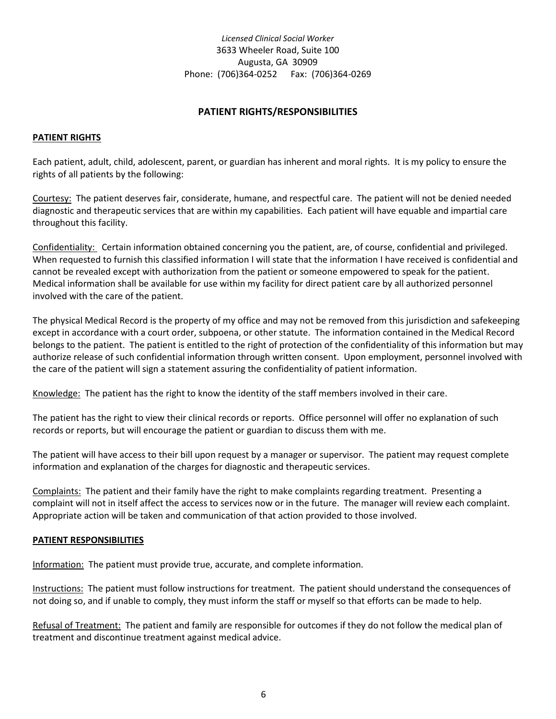## **PATIENT RIGHTS/RESPONSIBILITIES**

#### **PATIENT RIGHTS**

Each patient, adult, child, adolescent, parent, or guardian has inherent and moral rights. It is my policy to ensure the rights of all patients by the following:

Courtesy: The patient deserves fair, considerate, humane, and respectful care. The patient will not be denied needed diagnostic and therapeutic services that are within my capabilities. Each patient will have equable and impartial care throughout this facility.

Confidentiality: Certain information obtained concerning you the patient, are, of course, confidential and privileged. When requested to furnish this classified information I will state that the information I have received is confidential and cannot be revealed except with authorization from the patient or someone empowered to speak for the patient. Medical information shall be available for use within my facility for direct patient care by all authorized personnel involved with the care of the patient.

The physical Medical Record is the property of my office and may not be removed from this jurisdiction and safekeeping except in accordance with a court order, subpoena, or other statute. The information contained in the Medical Record belongs to the patient. The patient is entitled to the right of protection of the confidentiality of this information but may authorize release of such confidential information through written consent. Upon employment, personnel involved with the care of the patient will sign a statement assuring the confidentiality of patient information.

Knowledge: The patient has the right to know the identity of the staff members involved in their care.

The patient has the right to view their clinical records or reports. Office personnel will offer no explanation of such records or reports, but will encourage the patient or guardian to discuss them with me.

The patient will have access to their bill upon request by a manager or supervisor. The patient may request complete information and explanation of the charges for diagnostic and therapeutic services.

Complaints: The patient and their family have the right to make complaints regarding treatment. Presenting a complaint will not in itself affect the access to services now or in the future. The manager will review each complaint. Appropriate action will be taken and communication of that action provided to those involved.

#### **PATIENT RESPONSIBILITIES**

Information: The patient must provide true, accurate, and complete information.

Instructions: The patient must follow instructions for treatment. The patient should understand the consequences of not doing so, and if unable to comply, they must inform the staff or myself so that efforts can be made to help.

Refusal of Treatment: The patient and family are responsible for outcomes if they do not follow the medical plan of treatment and discontinue treatment against medical advice.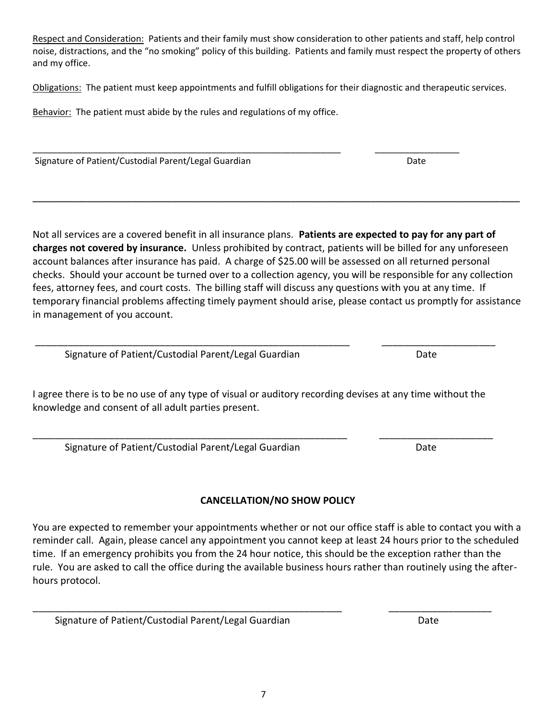Respect and Consideration: Patients and their family must show consideration to other patients and staff, help control noise, distractions, and the "no smoking" policy of this building. Patients and family must respect the property of others and my office.

Obligations: The patient must keep appointments and fulfill obligations for their diagnostic and therapeutic services.

Behavior: The patient must abide by the rules and regulations of my office.

\_\_\_\_\_\_\_\_\_\_\_\_\_\_\_\_\_\_\_\_\_\_\_\_\_\_\_\_\_\_\_\_\_\_\_\_\_\_\_\_\_\_\_\_\_\_\_\_\_\_\_\_\_\_\_\_\_\_\_\_\_\_ \_\_\_\_\_\_\_\_\_\_\_\_\_\_\_\_\_ Signature of Patient/Custodial Parent/Legal Guardian Date Date Date

Not all services are a covered benefit in all insurance plans. **Patients are expected to pay for any part of charges not covered by insurance.** Unless prohibited by contract, patients will be billed for any unforeseen account balances after insurance has paid. A charge of \$25.00 will be assessed on all returned personal checks. Should your account be turned over to a collection agency, you will be responsible for any collection fees, attorney fees, and court costs. The billing staff will discuss any questions with you at any time. If temporary financial problems affecting timely payment should arise, please contact us promptly for assistance in management of you account.

\_\_\_\_\_\_\_\_\_\_\_\_\_\_\_\_\_\_\_\_\_\_\_\_\_\_\_\_\_\_\_\_\_\_\_\_\_\_\_\_\_\_\_\_\_\_\_\_\_\_\_\_\_\_\_\_\_\_\_\_\_\_\_\_\_\_\_\_\_\_\_\_\_\_\_\_\_\_\_\_\_\_\_\_\_\_\_\_\_\_\_\_\_\_\_\_\_\_

Signature of Patient/Custodial Parent/Legal Guardian discussed by Date

I agree there is to be no use of any type of visual or auditory recording devises at any time without the knowledge and consent of all adult parties present.

\_\_\_\_\_\_\_\_\_\_\_\_\_\_\_\_\_\_\_\_\_\_\_\_\_\_\_\_\_\_\_\_\_\_\_\_\_\_\_\_\_\_\_\_\_\_\_\_\_\_\_\_\_\_\_\_\_\_ \_\_\_\_\_\_\_\_\_\_\_\_\_\_\_\_\_\_\_\_\_

Signature of Patient/Custodial Parent/Legal Guardian discussed by Date

# **CANCELLATION/NO SHOW POLICY**

You are expected to remember your appointments whether or not our office staff is able to contact you with a reminder call. Again, please cancel any appointment you cannot keep at least 24 hours prior to the scheduled time. If an emergency prohibits you from the 24 hour notice, this should be the exception rather than the rule. You are asked to call the office during the available business hours rather than routinely using the afterhours protocol.

Signature of Patient/Custodial Parent/Legal Guardian Date Date

7

\_\_\_\_\_\_\_\_\_\_\_\_\_\_\_\_\_\_\_\_\_\_\_\_\_\_\_\_\_\_\_\_\_\_\_\_\_\_\_\_\_\_\_\_\_\_\_\_\_\_\_\_\_\_\_\_\_\_ \_\_\_\_\_\_\_\_\_\_\_\_\_\_\_\_\_\_\_\_\_

\_\_\_\_\_\_\_\_\_\_\_\_\_\_\_\_\_\_\_\_\_\_\_\_\_\_\_\_\_\_\_\_\_\_\_\_\_\_\_\_\_\_\_\_\_\_\_\_\_\_\_\_\_\_\_\_\_ \_\_\_\_\_\_\_\_\_\_\_\_\_\_\_\_\_\_\_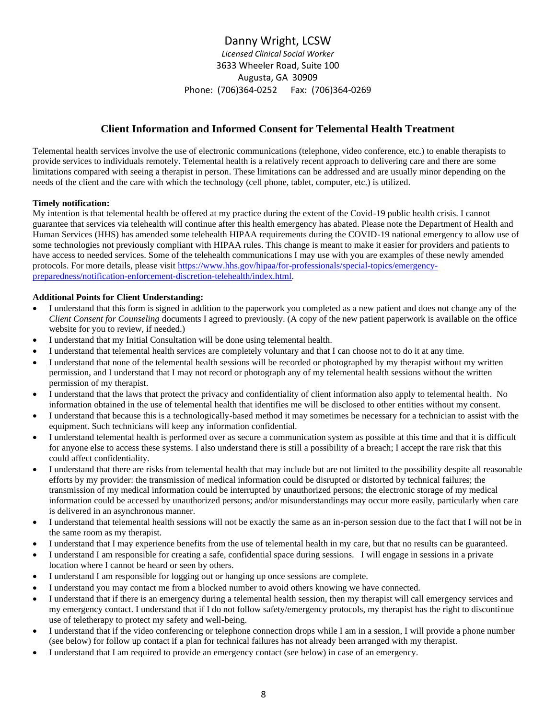## Danny Wright, LCSW

*Licensed Clinical Social Worker* 3633 Wheeler Road, Suite 100 Augusta, GA 30909 Phone: (706)364-0252 Fax: (706)364-0269

## **Client Information and Informed Consent for Telemental Health Treatment**

Telemental health services involve the use of electronic communications (telephone, video conference, etc.) to enable therapists to provide services to individuals remotely. Telemental health is a relatively recent approach to delivering care and there are some limitations compared with seeing a therapist in person. These limitations can be addressed and are usually minor depending on the needs of the client and the care with which the technology (cell phone, tablet, computer, etc.) is utilized.

#### **Timely notification:**

My intention is that telemental health be offered at my practice during the extent of the Covid-19 public health crisis. I cannot guarantee that services via telehealth will continue after this health emergency has abated. Please note the Department of Health and Human Services (HHS) has amended some telehealth HIPAA requirements during the COVID-19 national emergency to allow use of some technologies not previously compliant with HIPAA rules. This change is meant to make it easier for providers and patients to have access to needed services. Some of the telehealth communications I may use with you are examples of these newly amended protocols. For more details, please visit [https://www.hhs.gov/hipaa/for-professionals/special-topics/emergency](about:blank)[preparedness/notification-enforcement-discretion-telehealth/index.html.](about:blank)

#### **Additional Points for Client Understanding:**

- I understand that this form is signed in addition to the paperwork you completed as a new patient and does not change any of the *Client Consent for Counseling* documents I agreed to previously. (A copy of the new patient paperwork is available on the office website for you to review, if needed.)
- I understand that my Initial Consultation will be done using telemental health.
- I understand that telemental health services are completely voluntary and that I can choose not to do it at any time.
- I understand that none of the telemental health sessions will be recorded or photographed by my therapist without my written permission, and I understand that I may not record or photograph any of my telemental health sessions without the written permission of my therapist.
- I understand that the laws that protect the privacy and confidentiality of client information also apply to telemental health. No information obtained in the use of telemental health that identifies me will be disclosed to other entities without my consent.
- I understand that because this is a technologically-based method it may sometimes be necessary for a technician to assist with the equipment. Such technicians will keep any information confidential.
- I understand telemental health is performed over as secure a communication system as possible at this time and that it is difficult for anyone else to access these systems. I also understand there is still a possibility of a breach; I accept the rare risk that this could affect confidentiality.
- I understand that there are risks from telemental health that may include but are not limited to the possibility despite all reasonable efforts by my provider: the transmission of medical information could be disrupted or distorted by technical failures; the transmission of my medical information could be interrupted by unauthorized persons; the electronic storage of my medical information could be accessed by unauthorized persons; and/or misunderstandings may occur more easily, particularly when care is delivered in an asynchronous manner.
- I understand that telemental health sessions will not be exactly the same as an in-person session due to the fact that I will not be in the same room as my therapist.
- I understand that I may experience benefits from the use of telemental health in my care, but that no results can be guaranteed.
- I understand I am responsible for creating a safe, confidential space during sessions. I will engage in sessions in a private location where I cannot be heard or seen by others.
- I understand I am responsible for logging out or hanging up once sessions are complete.
- I understand you may contact me from a blocked number to avoid others knowing we have connected.
- I understand that if there is an emergency during a telemental health session, then my therapist will call emergency services and my emergency contact. I understand that if I do not follow safety/emergency protocols, my therapist has the right to discontinue use of teletherapy to protect my safety and well-being.
- I understand that if the video conferencing or telephone connection drops while I am in a session, I will provide a phone number (see below) for follow up contact if a plan for technical failures has not already been arranged with my therapist.
- I understand that I am required to provide an emergency contact (see below) in case of an emergency.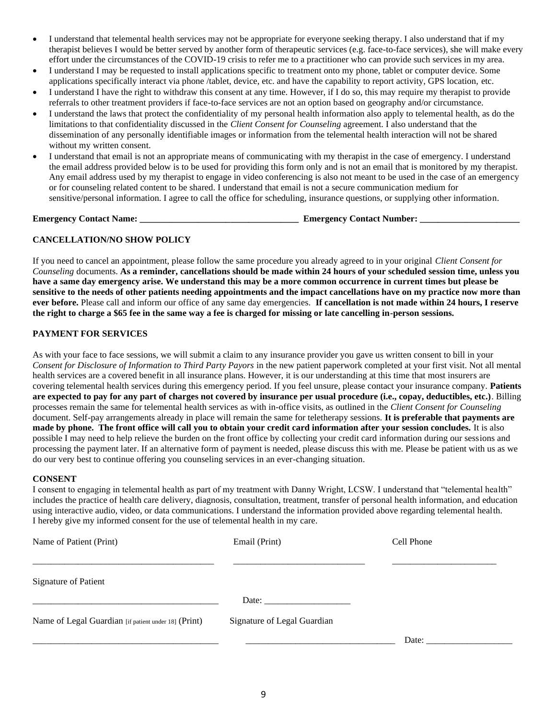- I understand that telemental health services may not be appropriate for everyone seeking therapy. I also understand that if my therapist believes I would be better served by another form of therapeutic services (e.g. face-to-face services), she will make every effort under the circumstances of the COVID-19 crisis to refer me to a practitioner who can provide such services in my area.
- I understand I may be requested to install applications specific to treatment onto my phone, tablet or computer device. Some applications specifically interact via phone /tablet, device, etc. and have the capability to report activity, GPS location, etc.
- I understand I have the right to withdraw this consent at any time. However, if I do so, this may require my therapist to provide referrals to other treatment providers if face-to-face services are not an option based on geography and/or circumstance.
- I understand the laws that protect the confidentiality of my personal health information also apply to telemental health, as do the limitations to that confidentiality discussed in the *Client Consent for Counseling* agreement. I also understand that the dissemination of any personally identifiable images or information from the telemental health interaction will not be shared without my written consent.
- I understand that email is not an appropriate means of communicating with my therapist in the case of emergency. I understand the email address provided below is to be used for providing this form only and is not an email that is monitored by my therapist. Any email address used by my therapist to engage in video conferencing is also not meant to be used in the case of an emergency or for counseling related content to be shared. I understand that email is not a secure communication medium for sensitive/personal information. I agree to call the office for scheduling, insurance questions, or supplying other information.

**Emergency Contact Name: \_\_\_\_\_\_\_\_\_\_\_\_\_\_\_\_\_\_\_\_\_\_\_\_\_\_\_\_\_\_\_\_\_\_\_ Emergency Contact Number: \_\_\_\_\_\_\_\_\_\_\_\_\_\_\_\_\_\_\_\_\_\_**

#### **CANCELLATION/NO SHOW POLICY**

If you need to cancel an appointment, please follow the same procedure you already agreed to in your original *Client Consent for Counseling* documents. **As a reminder, cancellations should be made within 24 hours of your scheduled session time, unless you have a same day emergency arise. We understand this may be a more common occurrence in current times but please be sensitive to the needs of other patients needing appointments and the impact cancellations have on my practice now more than ever before.** Please call and inform our office of any same day emergencies. **If cancellation is not made within 24 hours, I reserve the right to charge a \$65 fee in the same way a fee is charged for missing or late cancelling in-person sessions.** 

#### **PAYMENT FOR SERVICES**

As with your face to face sessions, we will submit a claim to any insurance provider you gave us written consent to bill in your *Consent for Disclosure of Information to Third Party Payors* in the new patient paperwork completed at your first visit. Not all mental health services are a covered benefit in all insurance plans. However, it is our understanding at this time that most insurers are covering telemental health services during this emergency period. If you feel unsure, please contact your insurance company. **Patients are expected to pay for any part of charges not covered by insurance per usual procedure (i.e., copay, deductibles, etc.)**. Billing processes remain the same for telemental health services as with in-office visits, as outlined in the *Client Consent for Counseling* document. Self-pay arrangements already in place will remain the same for teletherapy sessions. **It is preferable that payments are made by phone. The front office will call you to obtain your credit card information after your session concludes.** It is also possible I may need to help relieve the burden on the front office by collecting your credit card information during our sessions and processing the payment later. If an alternative form of payment is needed, please discuss this with me. Please be patient with us as we do our very best to continue offering you counseling services in an ever-changing situation.

#### **CONSENT**

I consent to engaging in telemental health as part of my treatment with Danny Wright, LCSW. I understand that "telemental health" includes the practice of health care delivery, diagnosis, consultation, treatment, transfer of personal health information, and education using interactive audio, video, or data communications. I understand the information provided above regarding telemental health. I hereby give my informed consent for the use of telemental health in my care.

| Name of Patient (Print)                              | Email (Print)                                                                                                                                                                                                                  | Cell Phone |  |
|------------------------------------------------------|--------------------------------------------------------------------------------------------------------------------------------------------------------------------------------------------------------------------------------|------------|--|
| <b>Signature of Patient</b>                          |                                                                                                                                                                                                                                |            |  |
|                                                      | Date: the contract of the contract of the contract of the contract of the contract of the contract of the contract of the contract of the contract of the contract of the contract of the contract of the contract of the cont |            |  |
| Name of Legal Guardian [if patient under 18] (Print) | Signature of Legal Guardian                                                                                                                                                                                                    |            |  |
|                                                      |                                                                                                                                                                                                                                | Date:      |  |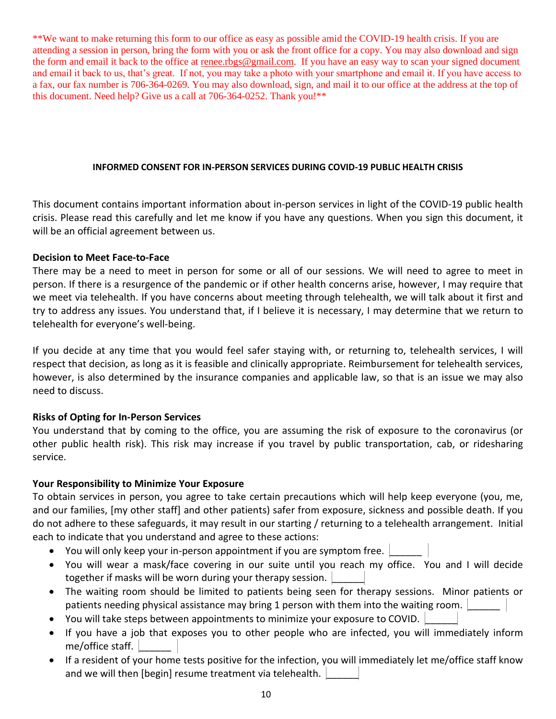\*\*We want to make returning this form to our office as easy as possible amid the COVID-19 health crisis. If you are attending a session in person, bring the form with you or ask the front office for a copy. You may also download and sign the form and email it back to the office at [renee.rbgs@gmail.com.](about:blank) If you have an easy way to scan your signed document and email it back to us, that's great. If not, you may take a photo with your smartphone and email it. If you have access to a fax, our fax number is 706-364-0269. You may also download, sign, and mail it to our office at the address at the top of this document. Need help? Give us a call at 706-364-0252. Thank you!\*\*

### **INFORMED CONSENT FOR IN-PERSON SERVICES DURING COVID-19 PUBLIC HEALTH CRISIS**

This document contains important information about in-person services in light of the COVID-19 public health crisis. Please read this carefully and let me know if you have any questions. When you sign this document, it will be an official agreement between us.

## **Decision to Meet Face-to-Face**

There may be a need to meet in person for some or all of our sessions. We will need to agree to meet in person. If there is a resurgence of the pandemic or if other health concerns arise, however, I may require that we meet via telehealth. If you have concerns about meeting through telehealth, we will talk about it first and try to address any issues. You understand that, if I believe it is necessary, I may determine that we return to telehealth for everyone's well-being.

If you decide at any time that you would feel safer staying with, or returning to, telehealth services, I will respect that decision, as long as it is feasible and clinically appropriate. Reimbursement for telehealth services, however, is also determined by the insurance companies and applicable law, so that is an issue we may also need to discuss.

## **Risks of Opting for In-Person Services**

You understand that by coming to the office, you are assuming the risk of exposure to the coronavirus (or other public health risk). This risk may increase if you travel by public transportation, cab, or ridesharing service.

## **Your Responsibility to Minimize Your Exposure**

To obtain services in person, you agree to take certain precautions which will help keep everyone (you, me, and our families, [my other staff] and other patients) safer from exposure, sickness and possible death. If you do not adhere to these safeguards, it may result in our starting / returning to a telehealth arrangement. Initial each to indicate that you understand and agree to these actions:

- You will only keep your in-person appointment if you are symptom free.
- You will wear a mask/face covering in our suite until you reach my office. You and I will decide together if masks will be worn during your therapy session.
- The waiting room should be limited to patients being seen for therapy sessions. Minor patients or patients needing physical assistance may bring 1 person with them into the waiting room.
- You will take steps between appointments to minimize your exposure to COVID.
- If you have a job that exposes you to other people who are infected, you will immediately inform me/office staff.  $\vert$
- If a resident of your home tests positive for the infection, you will immediately let me/office staff know and we will then [begin] resume treatment via telehealth.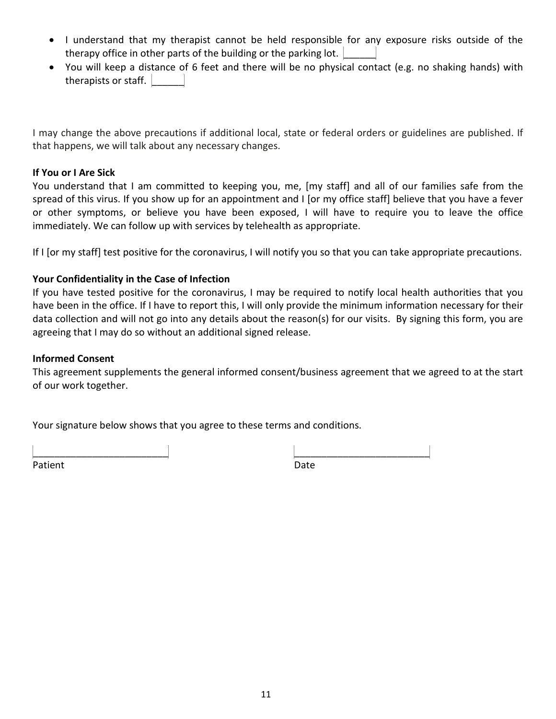- I understand that my therapist cannot be held responsible for any exposure risks outside of the therapy office in other parts of the building or the parking lot.
- You will keep a distance of 6 feet and there will be no physical contact (e.g. no shaking hands) with therapists or staff.

I may change the above precautions if additional local, state or federal orders or guidelines are published. If that happens, we will talk about any necessary changes.

## **If You or I Are Sick**

You understand that I am committed to keeping you, me, [my staff] and all of our families safe from the spread of this virus. If you show up for an appointment and I [or my office staff] believe that you have a fever or other symptoms, or believe you have been exposed, I will have to require you to leave the office immediately. We can follow up with services by telehealth as appropriate.

If I [or my staff] test positive for the coronavirus, I will notify you so that you can take appropriate precautions.

## **Your Confidentiality in the Case of Infection**

If you have tested positive for the coronavirus, I may be required to notify local health authorities that you have been in the office. If I have to report this, I will only provide the minimum information necessary for their data collection and will not go into any details about the reason(s) for our visits. By signing this form, you are agreeing that I may do so without an additional signed release.

## **Informed Consent**

This agreement supplements the general informed consent/business agreement that we agreed to at the start of our work together.

Your signature below shows that you agree to these terms and conditions.

Patient Date **Date** 

| Patient | Date |
|---------|------|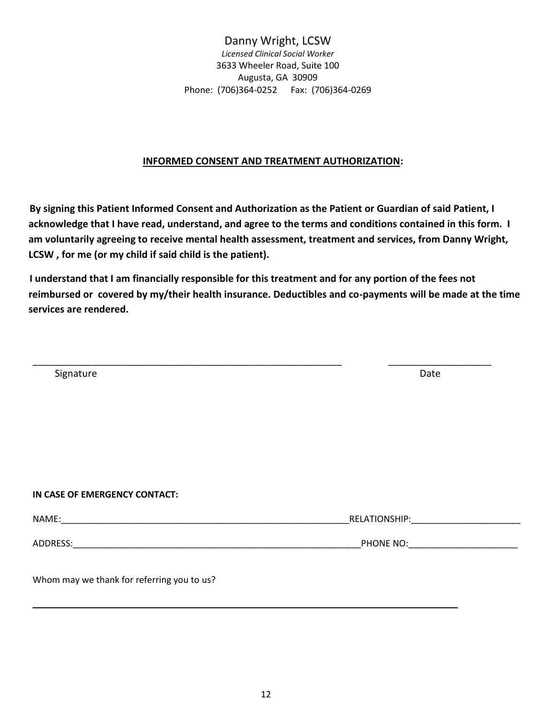## **INFORMED CONSENT AND TREATMENT AUTHORIZATION:**

 **By signing this Patient Informed Consent and Authorization as the Patient or Guardian of said Patient, I acknowledge that I have read, understand, and agree to the terms and conditions contained in this form. I am voluntarily agreeing to receive mental health assessment, treatment and services, from Danny Wright, LCSW , for me (or my child if said child is the patient).**

 **I understand that I am financially responsible for this treatment and for any portion of the fees not reimbursed or covered by my/their health insurance. Deductibles and co-payments will be made at the time services are rendered.**

| Signature                                  | Date                                               |
|--------------------------------------------|----------------------------------------------------|
|                                            |                                                    |
|                                            |                                                    |
|                                            |                                                    |
|                                            |                                                    |
| IN CASE OF EMERGENCY CONTACT:              |                                                    |
|                                            |                                                    |
|                                            | PHONE NO: <b>Analyzing the Contract of Austine</b> |
| Whom may we thank for referring you to us? |                                                    |